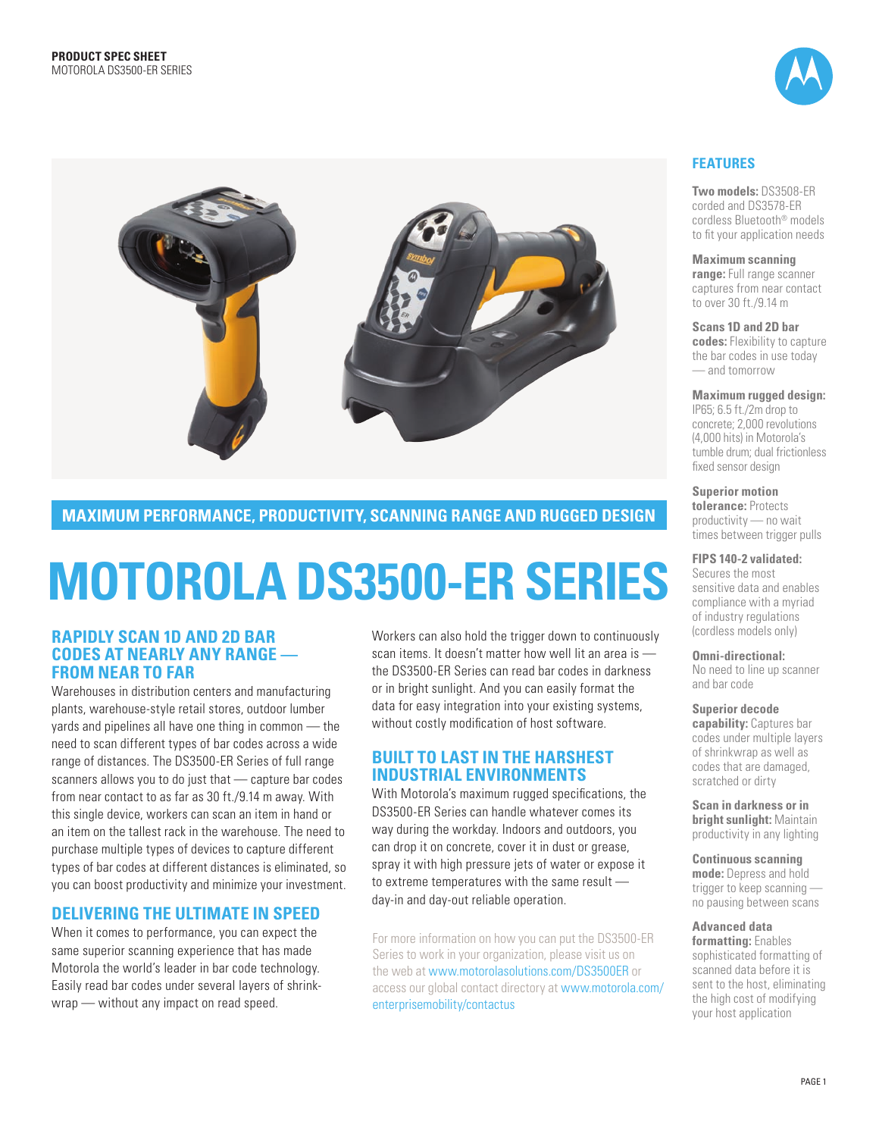



**maximum per form ance , product ivity, sc anning range and ru gged des ign**

# **Motoro la DS3500-ER Ser ies**

#### **rapidly scan 1D and 2D bar codes at nearly any range from near to far**

Warehouses in distribution centers and manufacturing plants, warehouse-style retail stores, outdoor lumber yards and pipelines all have one thing in common — the need to scan different types of bar codes across a wide range of distances. The DS3500-ER Series of full range scanners allows you to do just that — capture bar codes from near contact to as far as 30 ft./9.14 m away. With this single device, workers can scan an item in hand or an item on the tallest rack in the warehouse. The need to purchase multiple types of devices to capture different types of bar codes at different distances is eliminated, so you can boost productivity and minimize your investment.

## **Deliver ing the ultimate in speed**

When it comes to performance, you can expect the same superior scanning experience that has made Motorola the world's leader in bar code technology. Easily read bar codes under several layers of shrinkwrap — without any impact on read speed.

Workers can also hold the trigger down to continuously scan items. It doesn't matter how well lit an area is the DS3500-ER Series can read bar codes in darkness or in bright sunlight. And you can easily format the data for easy integration into your existing systems, without costly modification of host software.

#### **built to last in the harshest iNDUSTRIAL ENVIRONMENTS**

With Motorola's maximum rugged specifications, the DS3500-ER Series can handle whatever comes its way during the workday. Indoors and outdoors, you can drop it on concrete, cover it in dust or grease, spray it with high pressure jets of water or expose it to extreme temperatures with the same result day-in and day-out reliable operation.

For more information on how you can put the DS3500-ER Series to work in your organization, please visit us on the web at www.motorolasolutions.com/DS3500ER or access our global contact directory at www.motorola.com/ enterprisemobility/contactus

### **Features**

**Two models:** DS3508-ER corded and DS3578-ER cordless Bluetooth® models to fit your application needs

**Maximum scanning range:** Full range scanner captures from near contact to over 30 ft./9.14 m

**Scans 1D and 2D bar codes:** Flexibility to capture the bar codes in use today — and tomorrow

**Maximum rugged design:** 

IP65; 6.5 ft./2m drop to concrete; 2,000 revolutions (4,000 hits) in Motorola's tumble drum; dual frictionless fixed sensor design

**Superior motion tolerance:** Protects productivity — no wait times between trigger pulls

**FI PS 140-2 validated:** 

Secures the most sensitive data and enables compliance with a myriad of industry regulations (cordless models only)

**Omni-directional:** 

No need to line up scanner and bar code

**Superior decode capability:** Captures bar codes under multiple layers of shrinkwrap as well as codes that are damaged, scratched or dirty

**Scan in darkness or in bright sunlight:** Maintain productivity in any lighting

**Continuous scanning mode:** Depress and hold trigger to keep scanning no pausing between scans

**Advanced data** 

**formatting:** Enables sophisticated formatting of scanned data before it is sent to the host, eliminating the high cost of modifying your host application